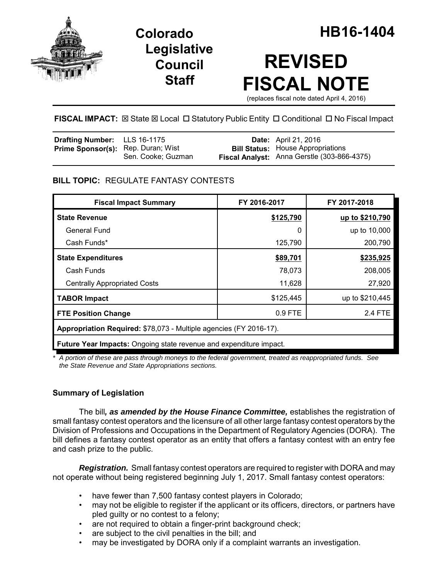

## **Legislative Council Staff**

# **REVISED FISCAL NOTE**

(replaces fiscal note dated April 4, 2016)

## **FISCAL IMPACT:**  $\boxtimes$  **State**  $\boxtimes$  **Local □ Statutory Public Entity □ Conditional □ No Fiscal Impact**

| <b>Drafting Number:</b> LLS 16-1175       |                    | <b>Date:</b> April 21, 2016                                                             |
|-------------------------------------------|--------------------|-----------------------------------------------------------------------------------------|
| <b>Prime Sponsor(s):</b> Rep. Duran; Wist | Sen. Cooke; Guzman | <b>Bill Status:</b> House Appropriations<br>Fiscal Analyst: Anna Gerstle (303-866-4375) |

## **BILL TOPIC:** REGULATE FANTASY CONTESTS

| <b>Fiscal Impact Summary</b>                                       | FY 2016-2017 | FY 2017-2018    |  |  |
|--------------------------------------------------------------------|--------------|-----------------|--|--|
| <b>State Revenue</b>                                               | \$125,790    | up to \$210,790 |  |  |
| General Fund                                                       | 0            | up to 10,000    |  |  |
| Cash Funds*                                                        | 125,790      | 200,790         |  |  |
| <b>State Expenditures</b>                                          | \$89,701     | \$235,925       |  |  |
| Cash Funds                                                         | 78,073       | 208,005         |  |  |
| <b>Centrally Appropriated Costs</b>                                | 11,628       | 27,920          |  |  |
| <b>TABOR Impact</b>                                                | \$125,445    | up to \$210,445 |  |  |
| <b>FTE Position Change</b>                                         | 0.9 FTE      | 2.4 FTE         |  |  |
| Appropriation Required: \$78,073 - Multiple agencies (FY 2016-17). |              |                 |  |  |
| Future Year Impacts: Ongoing state revenue and expenditure impact. |              |                 |  |  |

*\* A portion of these are pass through moneys to the federal government, treated as reappropriated funds. See the State Revenue and State Appropriations sections.*

## **Summary of Legislation**

The bill*, as amended by the House Finance Committee,* establishes the registration of small fantasy contest operators and the licensure of all other large fantasy contest operators by the Division of Professions and Occupations in the Department of Regulatory Agencies (DORA). The bill defines a fantasy contest operator as an entity that offers a fantasy contest with an entry fee and cash prize to the public.

*Registration.* Small fantasy contest operators are required to register with DORA and may not operate without being registered beginning July 1, 2017. Small fantasy contest operators:

- have fewer than 7,500 fantasy contest players in Colorado;
- may not be eligible to register if the applicant or its officers, directors, or partners have pled guilty or no contest to a felony;
- are not required to obtain a finger-print background check;
- are subject to the civil penalties in the bill; and
- may be investigated by DORA only if a complaint warrants an investigation.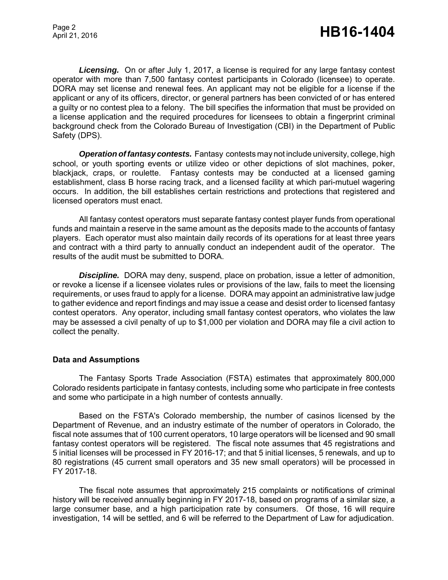*Licensing.* On or after July 1, 2017, a license is required for any large fantasy contest operator with more than 7,500 fantasy contest participants in Colorado (licensee) to operate. DORA may set license and renewal fees. An applicant may not be eligible for a license if the applicant or any of its officers, director, or general partners has been convicted of or has entered a guilty or no contest plea to a felony. The bill specifies the information that must be provided on a license application and the required procedures for licensees to obtain a fingerprint criminal background check from the Colorado Bureau of Investigation (CBI) in the Department of Public Safety (DPS).

*Operation of fantasy contests.* Fantasy contests may not include university, college, high school, or youth sporting events or utilize video or other depictions of slot machines, poker, blackjack, craps, or roulette. Fantasy contests may be conducted at a licensed gaming establishment, class B horse racing track, and a licensed facility at which pari-mutuel wagering occurs. In addition, the bill establishes certain restrictions and protections that registered and licensed operators must enact.

All fantasy contest operators must separate fantasy contest player funds from operational funds and maintain a reserve in the same amount as the deposits made to the accounts of fantasy players. Each operator must also maintain daily records of its operations for at least three years and contract with a third party to annually conduct an independent audit of the operator. The results of the audit must be submitted to DORA.

**Discipline.** DORA may deny, suspend, place on probation, issue a letter of admonition, or revoke a license if a licensee violates rules or provisions of the law, fails to meet the licensing requirements, or uses fraud to apply for a license. DORA may appoint an administrative law judge to gather evidence and report findings and may issue a cease and desist order to licensed fantasy contest operators. Any operator, including small fantasy contest operators, who violates the law may be assessed a civil penalty of up to \$1,000 per violation and DORA may file a civil action to collect the penalty.

#### **Data and Assumptions**

The Fantasy Sports Trade Association (FSTA) estimates that approximately 800,000 Colorado residents participate in fantasy contests, including some who participate in free contests and some who participate in a high number of contests annually.

Based on the FSTA's Colorado membership, the number of casinos licensed by the Department of Revenue, and an industry estimate of the number of operators in Colorado, the fiscal note assumes that of 100 current operators, 10 large operators will be licensed and 90 small fantasy contest operators will be registered. The fiscal note assumes that 45 registrations and 5 initial licenses will be processed in FY 2016-17; and that 5 initial licenses, 5 renewals, and up to 80 registrations (45 current small operators and 35 new small operators) will be processed in FY 2017-18.

The fiscal note assumes that approximately 215 complaints or notifications of criminal history will be received annually beginning in FY 2017-18, based on programs of a similar size, a large consumer base, and a high participation rate by consumers. Of those, 16 will require investigation, 14 will be settled, and 6 will be referred to the Department of Law for adjudication.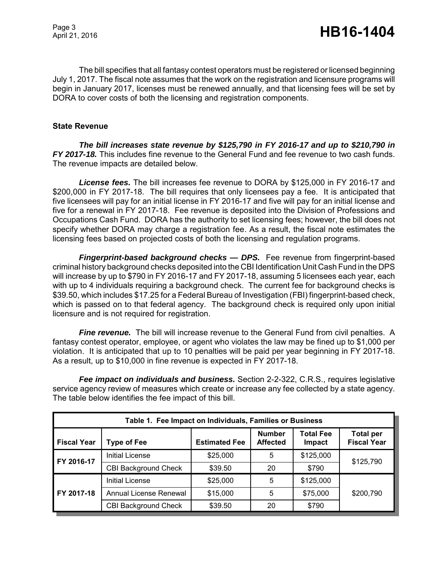The bill specifies that all fantasy contest operators must be registered or licensed beginning July 1, 2017. The fiscal note assumes that the work on the registration and licensure programs will begin in January 2017, licenses must be renewed annually, and that licensing fees will be set by DORA to cover costs of both the licensing and registration components.

## **State Revenue**

*The bill increases state revenue by \$125,790 in FY 2016-17 and up to \$210,790 in FY 2017-18.* This includes fine revenue to the General Fund and fee revenue to two cash funds. The revenue impacts are detailed below.

*License fees.* The bill increases fee revenue to DORA by \$125,000 in FY 2016-17 and \$200,000 in FY 2017-18. The bill requires that only licensees pay a fee. It is anticipated that five licensees will pay for an initial license in FY 2016-17 and five will pay for an initial license and five for a renewal in FY 2017-18. Fee revenue is deposited into the Division of Professions and Occupations Cash Fund. DORA has the authority to set licensing fees; however, the bill does not specify whether DORA may charge a registration fee. As a result, the fiscal note estimates the licensing fees based on projected costs of both the licensing and regulation programs.

*Fingerprint-based background checks — DPS.* Fee revenue from fingerprint-based criminal history background checks deposited into the CBI Identification Unit Cash Fund in the DPS will increase by up to \$790 in FY 2016-17 and FY 2017-18, assuming 5 licensees each year, each with up to 4 individuals requiring a background check. The current fee for background checks is \$39.50, which includes \$17.25 for a Federal Bureau of Investigation (FBI) fingerprint-based check, which is passed on to that federal agency. The background check is required only upon initial licensure and is not required for registration.

*Fine revenue.* The bill will increase revenue to the General Fund from civil penalties. A fantasy contest operator, employee, or agent who violates the law may be fined up to \$1,000 per violation. It is anticipated that up to 10 penalties will be paid per year beginning in FY 2017-18. As a result, up to \$10,000 in fine revenue is expected in FY 2017-18.

*Fee impact on individuals and business.* Section 2-2-322, C.R.S., requires legislative service agency review of measures which create or increase any fee collected by a state agency. The table below identifies the fee impact of this bill.

| Table 1. Fee Impact on Individuals, Families or Business |                             |                      |                                  |                                   |                                        |
|----------------------------------------------------------|-----------------------------|----------------------|----------------------------------|-----------------------------------|----------------------------------------|
| <b>Fiscal Year</b>                                       | <b>Type of Fee</b>          | <b>Estimated Fee</b> | <b>Number</b><br><b>Affected</b> | <b>Total Fee</b><br><b>Impact</b> | <b>Total per</b><br><b>Fiscal Year</b> |
| FY 2016-17                                               | <b>Initial License</b>      | \$25,000             | 5                                | \$125,000                         | \$125,790                              |
|                                                          | <b>CBI Background Check</b> | \$39.50              | 20                               | \$790                             |                                        |
| FY 2017-18                                               | <b>Initial License</b>      | \$25,000             | 5                                | \$125,000                         | \$200,790                              |
|                                                          | Annual License Renewal      | \$15,000             | 5                                | \$75,000                          |                                        |
|                                                          | <b>CBI Background Check</b> | \$39.50              | 20                               | \$790                             |                                        |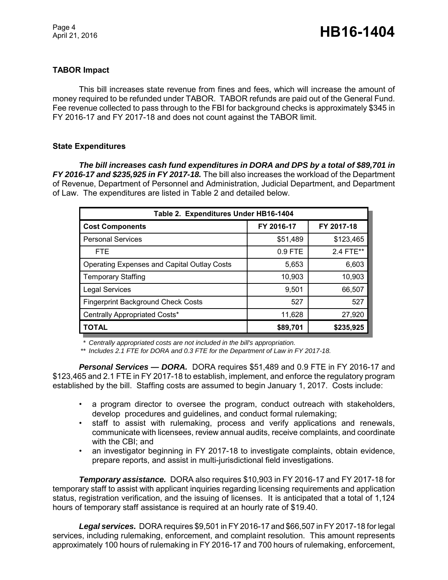## **TABOR Impact**

This bill increases state revenue from fines and fees, which will increase the amount of money required to be refunded under TABOR. TABOR refunds are paid out of the General Fund. Fee revenue collected to pass through to the FBI for background checks is approximately \$345 in FY 2016-17 and FY 2017-18 and does not count against the TABOR limit.

## **State Expenditures**

*The bill increases cash fund expenditures in DORA and DPS by a total of \$89,701 in FY 2016-17 and \$235,925 in FY 2017-18.* The bill also increases the workload of the Department of Revenue, Department of Personnel and Administration, Judicial Department, and Department of Law. The expenditures are listed in Table 2 and detailed below.

| Table 2. Expenditures Under HB16-1404              |            |            |  |  |
|----------------------------------------------------|------------|------------|--|--|
| <b>Cost Components</b>                             | FY 2016-17 | FY 2017-18 |  |  |
| <b>Personal Services</b>                           | \$51,489   | \$123,465  |  |  |
| <b>FTE</b>                                         | $0.9$ FTE  | 2.4 FTE**  |  |  |
| <b>Operating Expenses and Capital Outlay Costs</b> | 5,653      | 6,603      |  |  |
| <b>Temporary Staffing</b>                          | 10,903     | 10,903     |  |  |
| <b>Legal Services</b>                              | 9,501      | 66,507     |  |  |
| <b>Fingerprint Background Check Costs</b>          | 527        | 527        |  |  |
| Centrally Appropriated Costs*                      | 11,628     | 27,920     |  |  |
| <b>TOTAL</b>                                       | \$89,701   | \$235,925  |  |  |

*\* Centrally appropriated costs are not included in the bill's appropriation.*

*\*\* Includes 2.1 FTE for DORA and 0.3 FTE for the Department of Law in FY 2017-18.*

*Personal Services — DORA.* DORA requires \$51,489 and 0.9 FTE in FY 2016-17 and \$123,465 and 2.1 FTE in FY 2017-18 to establish, implement, and enforce the regulatory program established by the bill. Staffing costs are assumed to begin January 1, 2017. Costs include:

- a program director to oversee the program, conduct outreach with stakeholders, develop procedures and guidelines, and conduct formal rulemaking;
- staff to assist with rulemaking, process and verify applications and renewals, communicate with licensees, review annual audits, receive complaints, and coordinate with the CBI; and
- an investigator beginning in FY 2017-18 to investigate complaints, obtain evidence, prepare reports, and assist in multi-jurisdictional field investigations.

*Temporary assistance.* DORA also requires \$10,903 in FY 2016-17 and FY 2017-18 for temporary staff to assist with applicant inquiries regarding licensing requirements and application status, registration verification, and the issuing of licenses. It is anticipated that a total of 1,124 hours of temporary staff assistance is required at an hourly rate of \$19.40.

*Legal services.* DORA requires \$9,501 in FY 2016-17 and \$66,507 in FY 2017-18 for legal services, including rulemaking, enforcement, and complaint resolution. This amount represents approximately 100 hours of rulemaking in FY 2016-17 and 700 hours of rulemaking, enforcement,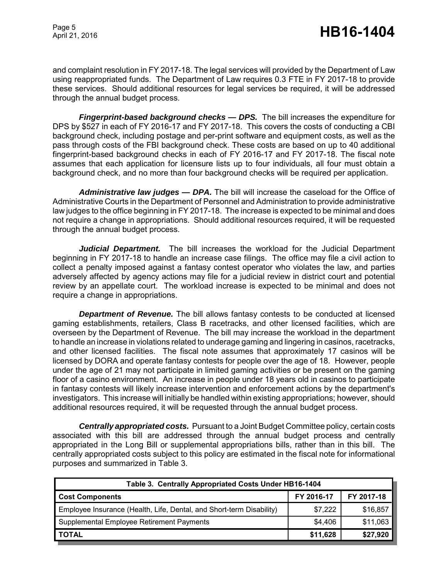and complaint resolution in FY 2017-18. The legal services will provided by the Department of Law using reappropriated funds. The Department of Law requires 0.3 FTE in FY 2017-18 to provide these services. Should additional resources for legal services be required, it will be addressed through the annual budget process.

*Fingerprint-based background checks — DPS.* The bill increases the expenditure for DPS by \$527 in each of FY 2016-17 and FY 2017-18. This covers the costs of conducting a CBI background check, including postage and per-print software and equipment costs, as well as the pass through costs of the FBI background check. These costs are based on up to 40 additional fingerprint-based background checks in each of FY 2016-17 and FY 2017-18. The fiscal note assumes that each application for licensure lists up to four individuals, all four must obtain a background check, and no more than four background checks will be required per application.

*Administrative law judges — DPA.* The bill will increase the caseload for the Office of Administrative Courts in the Department of Personnel and Administration to provide administrative law judges to the office beginning in FY 2017-18. The increase is expected to be minimal and does not require a change in appropriations. Should additional resources required, it will be requested through the annual budget process.

*Judicial Department.* The bill increases the workload for the Judicial Department beginning in FY 2017-18 to handle an increase case filings. The office may file a civil action to collect a penalty imposed against a fantasy contest operator who violates the law, and parties adversely affected by agency actions may file for a judicial review in district court and potential review by an appellate court. The workload increase is expected to be minimal and does not require a change in appropriations.

*Department of Revenue.* The bill allows fantasy contests to be conducted at licensed gaming establishments, retailers, Class B racetracks, and other licensed facilities, which are overseen by the Department of Revenue. The bill may increase the workload in the department to handle an increase in violations related to underage gaming and lingering in casinos, racetracks, and other licensed facilities. The fiscal note assumes that approximately 17 casinos will be licensed by DORA and operate fantasy contests for people over the age of 18. However, people under the age of 21 may not participate in limited gaming activities or be present on the gaming floor of a casino environment. An increase in people under 18 years old in casinos to participate in fantasy contests will likely increase intervention and enforcement actions by the department's investigators. This increase will initially be handled within existing appropriations; however, should additional resources required, it will be requested through the annual budget process.

*Centrally appropriated costs.* Pursuant to a Joint Budget Committee policy, certain costs associated with this bill are addressed through the annual budget process and centrally appropriated in the Long Bill or supplemental appropriations bills, rather than in this bill. The centrally appropriated costs subject to this policy are estimated in the fiscal note for informational purposes and summarized in Table 3.

| Table 3. Centrally Appropriated Costs Under HB16-1404                |            |            |  |
|----------------------------------------------------------------------|------------|------------|--|
| <b>Cost Components</b>                                               | FY 2016-17 | FY 2017-18 |  |
| Employee Insurance (Health, Life, Dental, and Short-term Disability) | \$7,222    | \$16,857   |  |
| Supplemental Employee Retirement Payments                            | \$4,406    | \$11,063   |  |
| <b>TOTAL</b>                                                         | \$11,628   | \$27,920   |  |